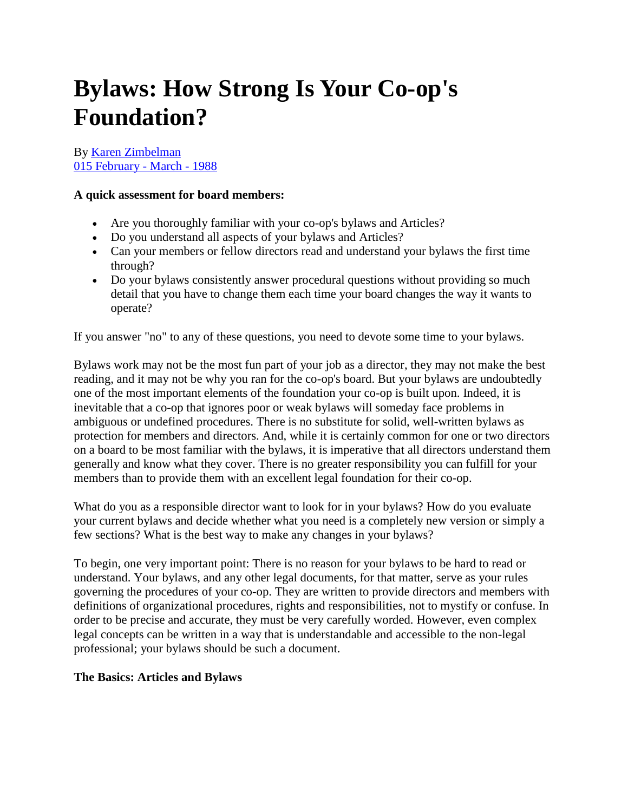# **Bylaws: How Strong Is Your Co-op's Foundation?**

By [Karen Zimbelman](http://www.grocer.coop/author/karen-zimbelman) [015 February -](http://www.grocer.coop/issue/015-february-march-1988) March - 1988

#### **A quick assessment for board members:**

- Are you thoroughly familiar with your co-op's bylaws and Articles?
- Do you understand all aspects of your bylaws and Articles?
- Can your members or fellow directors read and understand your bylaws the first time through?
- Do your bylaws consistently answer procedural questions without providing so much detail that you have to change them each time your board changes the way it wants to operate?

If you answer "no" to any of these questions, you need to devote some time to your bylaws.

Bylaws work may not be the most fun part of your job as a director, they may not make the best reading, and it may not be why you ran for the co-op's board. But your bylaws are undoubtedly one of the most important elements of the foundation your co-op is built upon. Indeed, it is inevitable that a co-op that ignores poor or weak bylaws will someday face problems in ambiguous or undefined procedures. There is no substitute for solid, well-written bylaws as protection for members and directors. And, while it is certainly common for one or two directors on a board to be most familiar with the bylaws, it is imperative that all directors understand them generally and know what they cover. There is no greater responsibility you can fulfill for your members than to provide them with an excellent legal foundation for their co-op.

What do you as a responsible director want to look for in your bylaws? How do you evaluate your current bylaws and decide whether what you need is a completely new version or simply a few sections? What is the best way to make any changes in your bylaws?

To begin, one very important point: There is no reason for your bylaws to be hard to read or understand. Your bylaws, and any other legal documents, for that matter, serve as your rules governing the procedures of your co-op. They are written to provide directors and members with definitions of organizational procedures, rights and responsibilities, not to mystify or confuse. In order to be precise and accurate, they must be very carefully worded. However, even complex legal concepts can be written in a way that is understandable and accessible to the non-legal professional; your bylaws should be such a document.

#### **The Basics: Articles and Bylaws**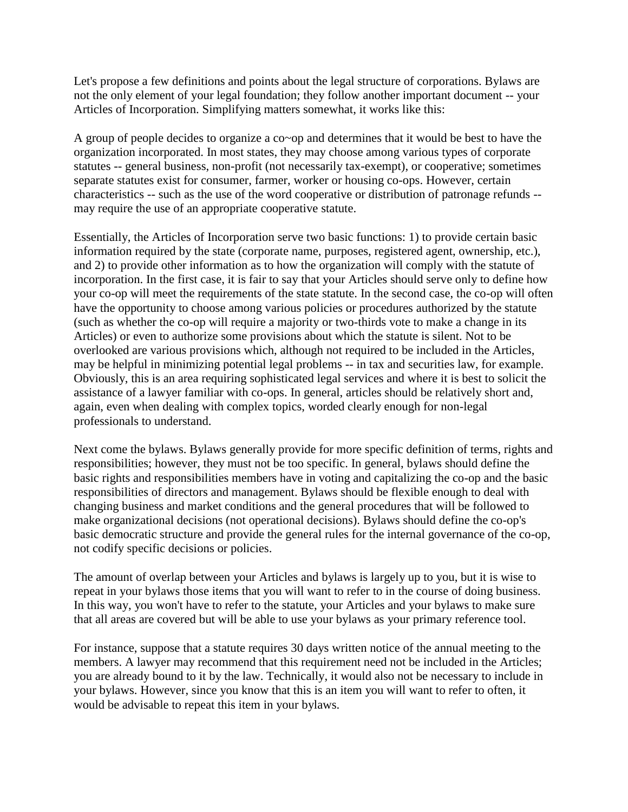Let's propose a few definitions and points about the legal structure of corporations. Bylaws are not the only element of your legal foundation; they follow another important document -- your Articles of Incorporation. Simplifying matters somewhat, it works like this:

A group of people decides to organize a co~op and determines that it would be best to have the organization incorporated. In most states, they may choose among various types of corporate statutes -- general business, non-profit (not necessarily tax-exempt), or cooperative; sometimes separate statutes exist for consumer, farmer, worker or housing co-ops. However, certain characteristics -- such as the use of the word cooperative or distribution of patronage refunds - may require the use of an appropriate cooperative statute.

Essentially, the Articles of Incorporation serve two basic functions: 1) to provide certain basic information required by the state (corporate name, purposes, registered agent, ownership, etc.), and 2) to provide other information as to how the organization will comply with the statute of incorporation. In the first case, it is fair to say that your Articles should serve only to define how your co-op will meet the requirements of the state statute. In the second case, the co-op will often have the opportunity to choose among various policies or procedures authorized by the statute (such as whether the co-op will require a majority or two-thirds vote to make a change in its Articles) or even to authorize some provisions about which the statute is silent. Not to be overlooked are various provisions which, although not required to be included in the Articles, may be helpful in minimizing potential legal problems -- in tax and securities law, for example. Obviously, this is an area requiring sophisticated legal services and where it is best to solicit the assistance of a lawyer familiar with co-ops. In general, articles should be relatively short and, again, even when dealing with complex topics, worded clearly enough for non-legal professionals to understand.

Next come the bylaws. Bylaws generally provide for more specific definition of terms, rights and responsibilities; however, they must not be too specific. In general, bylaws should define the basic rights and responsibilities members have in voting and capitalizing the co-op and the basic responsibilities of directors and management. Bylaws should be flexible enough to deal with changing business and market conditions and the general procedures that will be followed to make organizational decisions (not operational decisions). Bylaws should define the co-op's basic democratic structure and provide the general rules for the internal governance of the co-op, not codify specific decisions or policies.

The amount of overlap between your Articles and bylaws is largely up to you, but it is wise to repeat in your bylaws those items that you will want to refer to in the course of doing business. In this way, you won't have to refer to the statute, your Articles and your bylaws to make sure that all areas are covered but will be able to use your bylaws as your primary reference tool.

For instance, suppose that a statute requires 30 days written notice of the annual meeting to the members. A lawyer may recommend that this requirement need not be included in the Articles; you are already bound to it by the law. Technically, it would also not be necessary to include in your bylaws. However, since you know that this is an item you will want to refer to often, it would be advisable to repeat this item in your bylaws.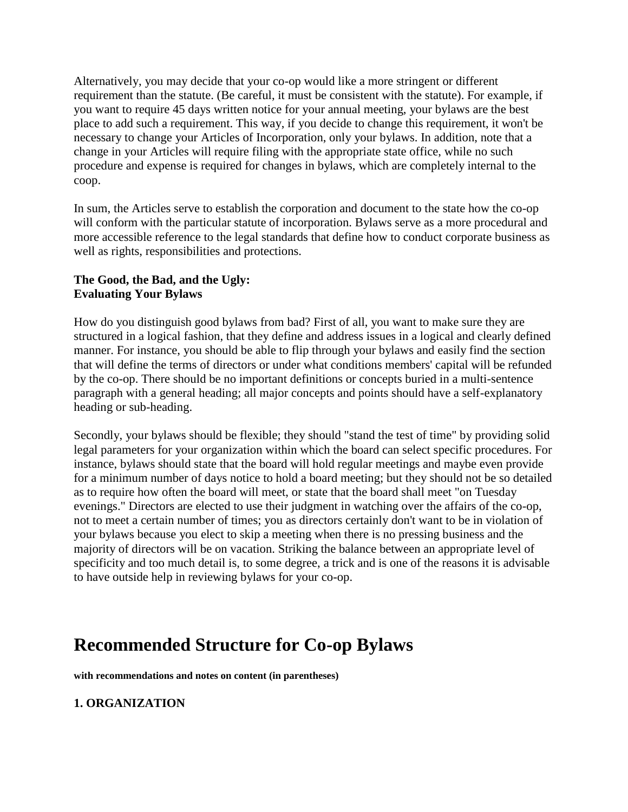Alternatively, you may decide that your co-op would like a more stringent or different requirement than the statute. (Be careful, it must be consistent with the statute). For example, if you want to require 45 days written notice for your annual meeting, your bylaws are the best place to add such a requirement. This way, if you decide to change this requirement, it won't be necessary to change your Articles of Incorporation, only your bylaws. In addition, note that a change in your Articles will require filing with the appropriate state office, while no such procedure and expense is required for changes in bylaws, which are completely internal to the coop.

In sum, the Articles serve to establish the corporation and document to the state how the co-op will conform with the particular statute of incorporation. Bylaws serve as a more procedural and more accessible reference to the legal standards that define how to conduct corporate business as well as rights, responsibilities and protections.

#### **The Good, the Bad, and the Ugly: Evaluating Your Bylaws**

How do you distinguish good bylaws from bad? First of all, you want to make sure they are structured in a logical fashion, that they define and address issues in a logical and clearly defined manner. For instance, you should be able to flip through your bylaws and easily find the section that will define the terms of directors or under what conditions members' capital will be refunded by the co-op. There should be no important definitions or concepts buried in a multi-sentence paragraph with a general heading; all major concepts and points should have a self-explanatory heading or sub-heading.

Secondly, your bylaws should be flexible; they should "stand the test of time" by providing solid legal parameters for your organization within which the board can select specific procedures. For instance, bylaws should state that the board will hold regular meetings and maybe even provide for a minimum number of days notice to hold a board meeting; but they should not be so detailed as to require how often the board will meet, or state that the board shall meet "on Tuesday evenings." Directors are elected to use their judgment in watching over the affairs of the co-op, not to meet a certain number of times; you as directors certainly don't want to be in violation of your bylaws because you elect to skip a meeting when there is no pressing business and the majority of directors will be on vacation. Striking the balance between an appropriate level of specificity and too much detail is, to some degree, a trick and is one of the reasons it is advisable to have outside help in reviewing bylaws for your co-op.

# **Recommended Structure for Co-op Bylaws**

**with recommendations and notes on content (in parentheses)**

# **1. ORGANIZATION**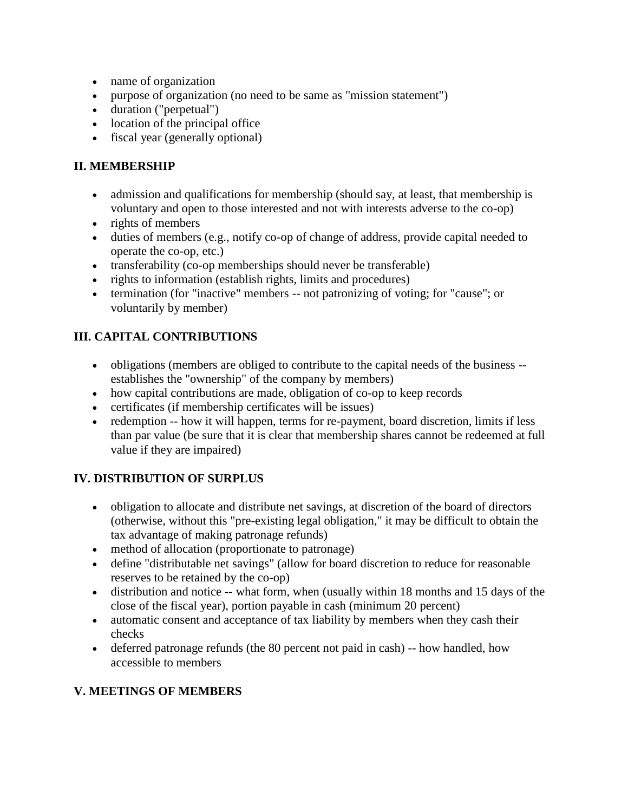- name of organization
- purpose of organization (no need to be same as "mission statement")
- duration ("perpetual")
- location of the principal office
- fiscal year (generally optional)

#### **II. MEMBERSHIP**

- admission and qualifications for membership (should say, at least, that membership is voluntary and open to those interested and not with interests adverse to the co-op)
- rights of members
- duties of members (e.g., notify co-op of change of address, provide capital needed to operate the co-op, etc.)
- transferability (co-op memberships should never be transferable)
- rights to information (establish rights, limits and procedures)
- termination (for "inactive" members -- not patronizing of voting; for "cause"; or voluntarily by member)

# **III. CAPITAL CONTRIBUTIONS**

- obligations (members are obliged to contribute to the capital needs of the business establishes the "ownership" of the company by members)
- how capital contributions are made, obligation of co-op to keep records
- certificates (if membership certificates will be issues)
- redemption -- how it will happen, terms for re-payment, board discretion, limits if less than par value (be sure that it is clear that membership shares cannot be redeemed at full value if they are impaired)

# **IV. DISTRIBUTION OF SURPLUS**

- obligation to allocate and distribute net savings, at discretion of the board of directors (otherwise, without this "pre-existing legal obligation," it may be difficult to obtain the tax advantage of making patronage refunds)
- method of allocation (proportionate to patronage)
- define "distributable net savings" (allow for board discretion to reduce for reasonable reserves to be retained by the co-op)
- distribution and notice -- what form, when (usually within 18 months and 15 days of the close of the fiscal year), portion payable in cash (minimum 20 percent)
- automatic consent and acceptance of tax liability by members when they cash their checks
- deferred patronage refunds (the 80 percent not paid in cash) -- how handled, how accessible to members

# **V. MEETINGS OF MEMBERS**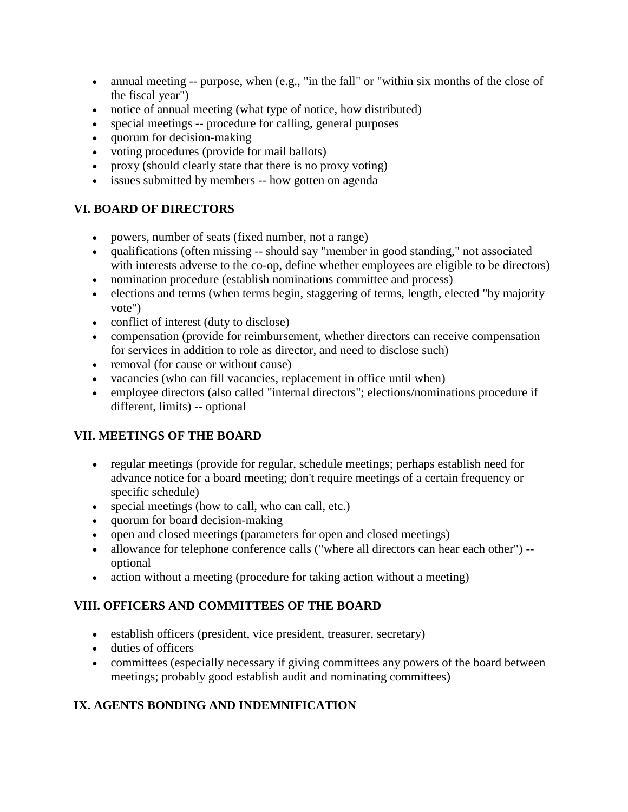- annual meeting -- purpose, when (e.g., "in the fall" or "within six months of the close of the fiscal year")
- notice of annual meeting (what type of notice, how distributed)
- special meetings -- procedure for calling, general purposes
- quorum for decision-making
- voting procedures (provide for mail ballots)
- proxy (should clearly state that there is no proxy voting)
- issues submitted by members -- how gotten on agenda

#### **VI. BOARD OF DIRECTORS**

- powers, number of seats (fixed number, not a range)
- qualifications (often missing -- should say "member in good standing," not associated with interests adverse to the co-op, define whether employees are eligible to be directors)
- nomination procedure (establish nominations committee and process)
- elections and terms (when terms begin, staggering of terms, length, elected "by majority vote")
- conflict of interest (duty to disclose)
- compensation (provide for reimbursement, whether directors can receive compensation for services in addition to role as director, and need to disclose such)
- removal (for cause or without cause)
- vacancies (who can fill vacancies, replacement in office until when)
- employee directors (also called "internal directors"; elections/nominations procedure if different, limits) -- optional

# **VII. MEETINGS OF THE BOARD**

- regular meetings (provide for regular, schedule meetings; perhaps establish need for advance notice for a board meeting; don't require meetings of a certain frequency or specific schedule)
- special meetings (how to call, who can call, etc.)
- quorum for board decision-making
- open and closed meetings (parameters for open and closed meetings)
- allowance for telephone conference calls ("where all directors can hear each other") -optional
- action without a meeting (procedure for taking action without a meeting)

# **VIII. OFFICERS AND COMMITTEES OF THE BOARD**

- establish officers (president, vice president, treasurer, secretary)
- duties of officers
- committees (especially necessary if giving committees any powers of the board between meetings; probably good establish audit and nominating committees)

# **IX. AGENTS BONDING AND INDEMNIFICATION**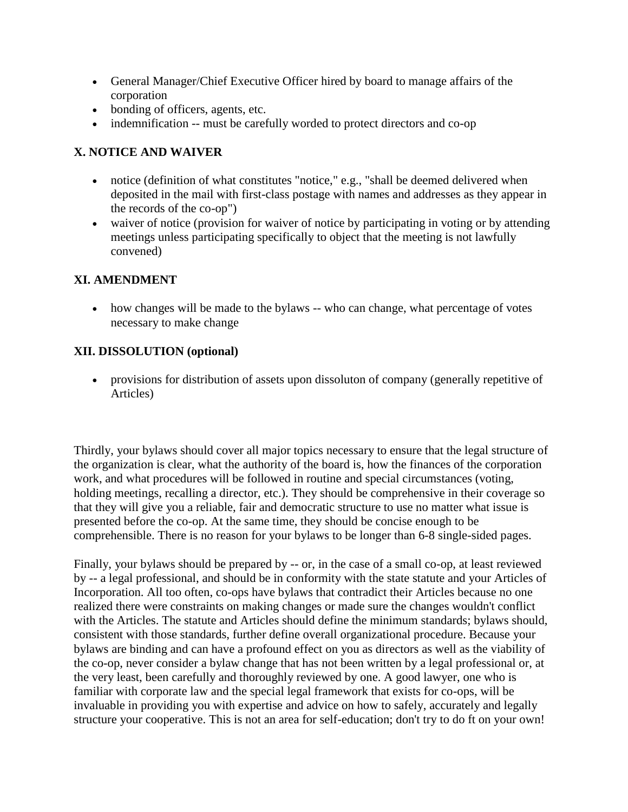- General Manager/Chief Executive Officer hired by board to manage affairs of the corporation
- bonding of officers, agents, etc.
- indemnification -- must be carefully worded to protect directors and co-op

#### **X. NOTICE AND WAIVER**

- notice (definition of what constitutes "notice," e.g., "shall be deemed delivered when deposited in the mail with first-class postage with names and addresses as they appear in the records of the co-op")
- waiver of notice (provision for waiver of notice by participating in voting or by attending meetings unless participating specifically to object that the meeting is not lawfully convened)

#### **XI. AMENDMENT**

• how changes will be made to the bylaws -- who can change, what percentage of votes necessary to make change

#### **XII. DISSOLUTION (optional)**

 provisions for distribution of assets upon dissoluton of company (generally repetitive of Articles)

Thirdly, your bylaws should cover all major topics necessary to ensure that the legal structure of the organization is clear, what the authority of the board is, how the finances of the corporation work, and what procedures will be followed in routine and special circumstances (voting, holding meetings, recalling a director, etc.). They should be comprehensive in their coverage so that they will give you a reliable, fair and democratic structure to use no matter what issue is presented before the co-op. At the same time, they should be concise enough to be comprehensible. There is no reason for your bylaws to be longer than 6-8 single-sided pages.

Finally, your bylaws should be prepared by -- or, in the case of a small co-op, at least reviewed by -- a legal professional, and should be in conformity with the state statute and your Articles of Incorporation. All too often, co-ops have bylaws that contradict their Articles because no one realized there were constraints on making changes or made sure the changes wouldn't conflict with the Articles. The statute and Articles should define the minimum standards; bylaws should, consistent with those standards, further define overall organizational procedure. Because your bylaws are binding and can have a profound effect on you as directors as well as the viability of the co-op, never consider a bylaw change that has not been written by a legal professional or, at the very least, been carefully and thoroughly reviewed by one. A good lawyer, one who is familiar with corporate law and the special legal framework that exists for co-ops, will be invaluable in providing you with expertise and advice on how to safely, accurately and legally structure your cooperative. This is not an area for self-education; don't try to do ft on your own!